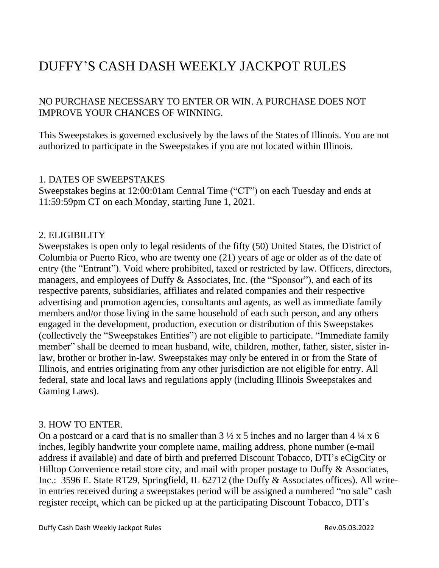# DUFFY'S CASH DASH WEEKLY JACKPOT RULES

NO PURCHASE NECESSARY TO ENTER OR WIN. A PURCHASE DOES NOT IMPROVE YOUR CHANCES OF WINNING.

This Sweepstakes is governed exclusively by the laws of the States of Illinois. You are not authorized to participate in the Sweepstakes if you are not located within Illinois.

## 1. DATES OF SWEEPSTAKES

Sweepstakes begins at 12:00:01am Central Time ("CT") on each Tuesday and ends at 11:59:59pm CT on each Monday, starting June 1, 2021.

# 2. ELIGIBILITY

Sweepstakes is open only to legal residents of the fifty (50) United States, the District of Columbia or Puerto Rico, who are twenty one (21) years of age or older as of the date of entry (the "Entrant"). Void where prohibited, taxed or restricted by law. Officers, directors, managers, and employees of Duffy & Associates, Inc. (the "Sponsor"), and each of its respective parents, subsidiaries, affiliates and related companies and their respective advertising and promotion agencies, consultants and agents, as well as immediate family members and/or those living in the same household of each such person, and any others engaged in the development, production, execution or distribution of this Sweepstakes (collectively the "Sweepstakes Entities") are not eligible to participate. "Immediate family member" shall be deemed to mean husband, wife, children, mother, father, sister, sister inlaw, brother or brother in-law. Sweepstakes may only be entered in or from the State of Illinois, and entries originating from any other jurisdiction are not eligible for entry. All federal, state and local laws and regulations apply (including Illinois Sweepstakes and Gaming Laws).

# 3. HOW TO ENTER.

On a postcard or a card that is no smaller than  $3\frac{1}{2} \times 5$  inches and no larger than  $4\frac{1}{4} \times 6$ inches, legibly handwrite your complete name, mailing address, phone number (e-mail address if available) and date of birth and preferred Discount Tobacco, DTI's eCigCity or Hilltop Convenience retail store city, and mail with proper postage to Duffy  $\&$  Associates, Inc.: 3596 E. State RT29, Springfield, IL 62712 (the Duffy & Associates offices). All writein entries received during a sweepstakes period will be assigned a numbered "no sale" cash register receipt, which can be picked up at the participating Discount Tobacco, DTI's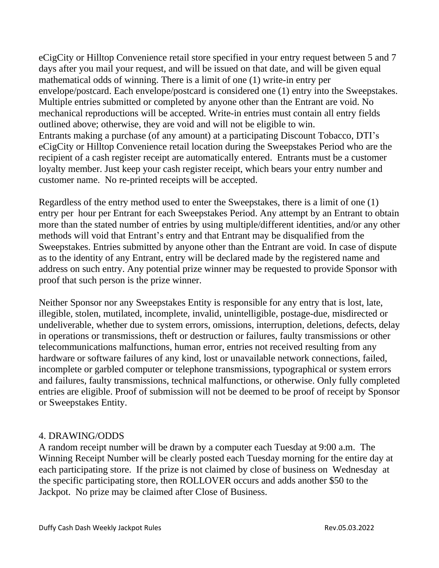eCigCity or Hilltop Convenience retail store specified in your entry request between 5 and 7 days after you mail your request, and will be issued on that date, and will be given equal mathematical odds of winning. There is a limit of one (1) write-in entry per envelope/postcard. Each envelope/postcard is considered one (1) entry into the Sweepstakes. Multiple entries submitted or completed by anyone other than the Entrant are void. No mechanical reproductions will be accepted. Write-in entries must contain all entry fields outlined above; otherwise, they are void and will not be eligible to win. Entrants making a purchase (of any amount) at a participating Discount Tobacco, DTI's eCigCity or Hilltop Convenience retail location during the Sweepstakes Period who are the recipient of a cash register receipt are automatically entered. Entrants must be a customer loyalty member. Just keep your cash register receipt, which bears your entry number and customer name. No re-printed receipts will be accepted.

Regardless of the entry method used to enter the Sweepstakes, there is a limit of one (1) entry per hour per Entrant for each Sweepstakes Period. Any attempt by an Entrant to obtain more than the stated number of entries by using multiple/different identities, and/or any other methods will void that Entrant's entry and that Entrant may be disqualified from the Sweepstakes. Entries submitted by anyone other than the Entrant are void. In case of dispute as to the identity of any Entrant, entry will be declared made by the registered name and address on such entry. Any potential prize winner may be requested to provide Sponsor with proof that such person is the prize winner.

Neither Sponsor nor any Sweepstakes Entity is responsible for any entry that is lost, late, illegible, stolen, mutilated, incomplete, invalid, unintelligible, postage-due, misdirected or undeliverable, whether due to system errors, omissions, interruption, deletions, defects, delay in operations or transmissions, theft or destruction or failures, faulty transmissions or other telecommunications malfunctions, human error, entries not received resulting from any hardware or software failures of any kind, lost or unavailable network connections, failed, incomplete or garbled computer or telephone transmissions, typographical or system errors and failures, faulty transmissions, technical malfunctions, or otherwise. Only fully completed entries are eligible. Proof of submission will not be deemed to be proof of receipt by Sponsor or Sweepstakes Entity.

#### 4. DRAWING/ODDS

A random receipt number will be drawn by a computer each Tuesday at 9:00 a.m. The Winning Receipt Number will be clearly posted each Tuesday morning for the entire day at each participating store. If the prize is not claimed by close of business on Wednesday at the specific participating store, then ROLLOVER occurs and adds another \$50 to the Jackpot. No prize may be claimed after Close of Business.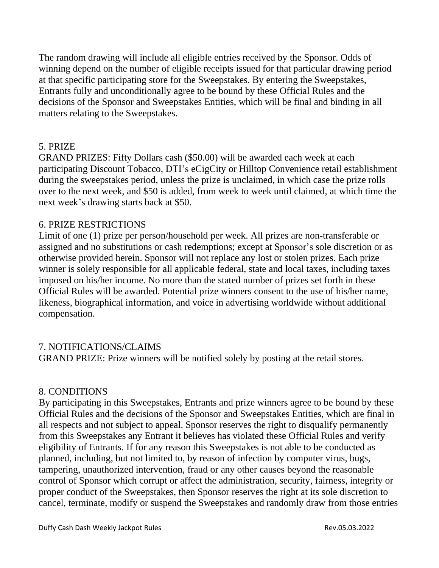The random drawing will include all eligible entries received by the Sponsor. Odds of winning depend on the number of eligible receipts issued for that particular drawing period at that specific participating store for the Sweepstakes. By entering the Sweepstakes, Entrants fully and unconditionally agree to be bound by these Official Rules and the decisions of the Sponsor and Sweepstakes Entities, which will be final and binding in all matters relating to the Sweepstakes.

## 5. PRIZE

GRAND PRIZES: Fifty Dollars cash (\$50.00) will be awarded each week at each participating Discount Tobacco, DTI's eCigCity or Hilltop Convenience retail establishment during the sweepstakes period, unless the prize is unclaimed, in which case the prize rolls over to the next week, and \$50 is added, from week to week until claimed, at which time the next week's drawing starts back at \$50.

#### 6. PRIZE RESTRICTIONS

Limit of one (1) prize per person/household per week. All prizes are non-transferable or assigned and no substitutions or cash redemptions; except at Sponsor's sole discretion or as otherwise provided herein. Sponsor will not replace any lost or stolen prizes. Each prize winner is solely responsible for all applicable federal, state and local taxes, including taxes imposed on his/her income. No more than the stated number of prizes set forth in these Official Rules will be awarded. Potential prize winners consent to the use of his/her name, likeness, biographical information, and voice in advertising worldwide without additional compensation.

# 7. NOTIFICATIONS/CLAIMS

GRAND PRIZE: Prize winners will be notified solely by posting at the retail stores.

# 8. CONDITIONS

By participating in this Sweepstakes, Entrants and prize winners agree to be bound by these Official Rules and the decisions of the Sponsor and Sweepstakes Entities, which are final in all respects and not subject to appeal. Sponsor reserves the right to disqualify permanently from this Sweepstakes any Entrant it believes has violated these Official Rules and verify eligibility of Entrants. If for any reason this Sweepstakes is not able to be conducted as planned, including, but not limited to, by reason of infection by computer virus, bugs, tampering, unauthorized intervention, fraud or any other causes beyond the reasonable control of Sponsor which corrupt or affect the administration, security, fairness, integrity or proper conduct of the Sweepstakes, then Sponsor reserves the right at its sole discretion to cancel, terminate, modify or suspend the Sweepstakes and randomly draw from those entries